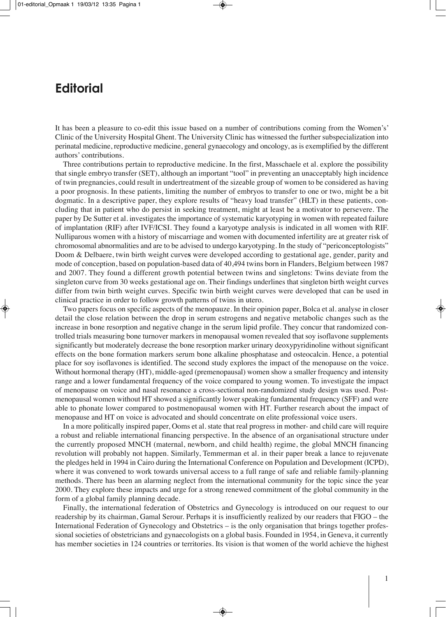## **Editorial**

It has been a pleasure to co-edit this issue based on a number of contributions coming from the Women's' Clinic of the University Hospital Ghent. The University Clinic has witnessed the further subspecialization into perinatal medicine, reproductive medicine, general gynaecology and oncology, as is exemplified by the different authors' contributions.

Three contributions pertain to reproductive medicine. In the first, Masschaele et al. explore the possibility that single embryo transfer (SET), although an important "tool" in preventing an unacceptably high incidence of twin pregnancies, could result in undertreatment of the sizeable group of women to be considered as having a poor prognosis. In these patients, limiting the number of embryos to transfer to one or two, might be a bit dogmatic. In a descriptive paper, they explore results of "heavy load transfer" (HLT) in these patients, concluding that in patient who do persist in seeking treatment, might at least be a motivator to persevere. The paper by De Sutter et al. investigates the importance of systematic karyotyping in women with repeated failure of implantation (RIF) after IVF/ICSI. They found a karyotype analysis is indicated in all women with RIF. Nulliparous women with a history of miscarriage and women with documented infertility are at greater risk of chromosomal abnormalities and are to be advised to undergo karyotyping. In the study of "periconceptologists" Doom & Delbaere, twin birth weight curve**s** were developed according to gestational age, gender, parity and mode of conception, based on population-based data of 40,494 twins born in Flanders, Belgium between 1987 and 2007. They found a different growth potential between twins and singletons: Twins deviate from the singleton curve from 30 weeks gestational age on. Their findings underlines that singleton birth weight curves differ from twin birth weight curves. Specific twin birth weight curves were developed that can be used in clinical practice in order to follow growth patterns of twins in utero.

Two papers focus on specific aspects of the menopauze. In their opinion paper, Bolca et al. analyse in closer detail the close relation between the drop in serum estrogens and negative metabolic changes such as the increase in bone resorption and negative change in the serum lipid profile. They concur that randomized controlled trials measuring bone turnover markers in menopausal women revealed that soy isoflavone supplements significantly but moderately decrease the bone resorption marker urinary deoxypyridinoline without significant effects on the bone formation markers serum bone alkaline phosphatase and osteocalcin. Hence, a potential place for soy isoflavones is identified. The second study explores the impact of the menopause on the voice. Without hormonal therapy (HT), middle-aged (premenopausal) women show a smaller frequency and intensity range and a lower fundamental frequency of the voice compared to young women. To investigate the impact of menopause on voice and nasal resonance a cross-sectional non-randomized study design was used. Postmenopausal women without HT showed a significantly lower speaking fundamental frequency (SFF) and were able to phonate lower compared to postmenopausal women with HT. Further research about the impact of menopause and HT on voice is advocated and should concentrate on elite professional voice users.

In a more politically inspired paper, Ooms et al. state that real progress in mother- and child care will require a robust and reliable international financing perspective. In the absence of an organisational structure under the currently proposed MNCH (maternal, newborn, and child health) regime, the global MNCH financing revolution will probably not happen. Similarly, Temmerman et al. in their paper break a lance to rejuvenate the pledges held in 1994 in Cairo during the International Conference on Population and Development (ICPD), where it was convened to work towards universal access to a full range of safe and reliable family-planning methods. There has been an alarming neglect from the international community for the topic since the year 2000. They explore these impacts and urge for a strong renewed commitment of the global community in the form of a global family planning decade.

Finally, the international federation of Obstetrics and Gynecology is introduced on our request to our readership by its chairman, Gamal Serour. Perhaps it is insufficiently realized by our readers that FIGO – the International Federation of Gynecology and Obstetrics – is the only organisation that brings together professional societies of obstetricians and gynaecologists on a global basis. Founded in 1954, in Geneva, it currently has member societies in 124 countries or territories. Its vision is that women of the world achieve the highest